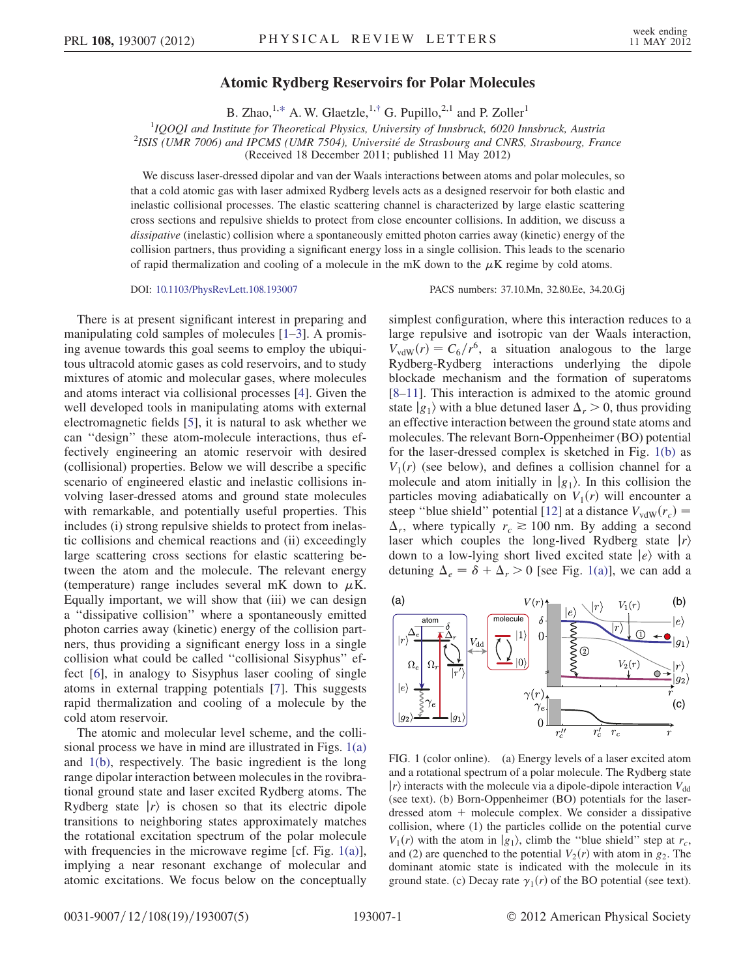## Atomic Rydberg Reservoirs for Polar Molecules

B. Zhao, <sup>1[,\\*](#page-4-0)</sup> A. W. Glaetzle, <sup>1,[†](#page-4-1)</sup> G. Pupillo,<sup>2,1</sup> and P. Zoller<sup>1</sup>

<span id="page-0-1"></span><sup>1</sup>IQOQI and Institute for Theoretical Physics, University of Innsbruck, 6020 Innsbruck, Austria<sup>2</sup>ISIS (*IIMP 7006*) and IPCMS (*IIMP 7504*). *Iniversité de Strashoure and CNPS* Strashoure, Fra  $^{2}$ ISIS (UMR 7006) and IPCMS (UMR 7504), Université de Strasbourg and CNRS, Strasbourg, France (Received 18 December 2011; published 11 May 2012)

We discuss laser-dressed dipolar and van der Waals interactions between atoms and polar molecules, so that a cold atomic gas with laser admixed Rydberg levels acts as a designed reservoir for both elastic and inelastic collisional processes. The elastic scattering channel is characterized by large elastic scattering cross sections and repulsive shields to protect from close encounter collisions. In addition, we discuss a dissipative (inelastic) collision where a spontaneously emitted photon carries away (kinetic) energy of the collision partners, thus providing a significant energy loss in a single collision. This leads to the scenario of rapid thermalization and cooling of a molecule in the mK down to the  $\mu$ K regime by cold atoms.

DOI: [10.1103/PhysRevLett.108.193007](http://dx.doi.org/10.1103/PhysRevLett.108.193007) PACS numbers: 37.10.Mn, 32.80.Ee, 34.20.Gj

There is at present significant interest in preparing and manipulating cold samples of molecules [\[1](#page-4-2)–[3\]](#page-4-3). A promising avenue towards this goal seems to employ the ubiquitous ultracold atomic gases as cold reservoirs, and to study mixtures of atomic and molecular gases, where molecules and atoms interact via collisional processes [[4\]](#page-4-4). Given the well developed tools in manipulating atoms with external electromagnetic fields [\[5](#page-4-5)], it is natural to ask whether we can ''design'' these atom-molecule interactions, thus effectively engineering an atomic reservoir with desired (collisional) properties. Below we will describe a specific scenario of engineered elastic and inelastic collisions involving laser-dressed atoms and ground state molecules with remarkable, and potentially useful properties. This includes (i) strong repulsive shields to protect from inelastic collisions and chemical reactions and (ii) exceedingly large scattering cross sections for elastic scattering between the atom and the molecule. The relevant energy (temperature) range includes several mK down to  $\mu$ K. Equally important, we will show that (iii) we can design a ''dissipative collision'' where a spontaneously emitted photon carries away (kinetic) energy of the collision partners, thus providing a significant energy loss in a single collision what could be called ''collisional Sisyphus'' effect [[6](#page-4-6)], in analogy to Sisyphus laser cooling of single atoms in external trapping potentials [\[7](#page-4-7)]. This suggests rapid thermalization and cooling of a molecule by the cold atom reservoir.

The atomic and molecular level scheme, and the collisional process we have in mind are illustrated in Figs. [1\(a\)](#page-0-0) and [1\(b\)](#page-0-0), respectively. The basic ingredient is the long range dipolar interaction between molecules in the rovibrational ground state and laser excited Rydberg atoms. The Rydberg state  $|r\rangle$  is chosen so that its electric dipole transitions to neighboring states approximately matches the rotational excitation spectrum of the polar molecule with frequencies in the microwave regime [cf. Fig.  $1(a)$ ], implying a near resonant exchange of molecular and atomic excitations. We focus below on the conceptually simplest configuration, where this interaction reduces to a large repulsive and isotropic van der Waals interaction,  $V_{\text{vdW}}(r) = C_6/r^6$ , a situation analogous to the large Rydberg-Rydberg interactions underlying the dipole blockade mechanism and the formation of superatoms [\[8–](#page-4-8)[11](#page-4-9)]. This interaction is admixed to the atomic ground state  $|g_1\rangle$  with a blue detuned laser  $\Delta_r > 0$ , thus providing an effective interaction between the ground state atoms and molecules. The relevant Born-Oppenheimer (BO) potential for the laser-dressed complex is sketched in Fig. [1\(b\)](#page-0-0) as  $V_1(r)$  (see below), and defines a collision channel for a molecule and atom initially in  $|g_1\rangle$ . In this collision the particles moving adiabatically on  $V_1(r)$  will encounter a steep "blue shield" potential [[12](#page-4-10)] at a distance  $V_{\text{vdW}}(r_c)$  =  $\Delta_r$ , where typically  $r_c \ge 100$  nm. By adding a second laser which couples the long-lived Rydberg state  $|r\rangle$ down to a low-lying short lived excited state  $|e\rangle$  with a detuning  $\Delta_e = \delta + \Delta_r > 0$  [see Fig. [1\(a\)\]](#page-0-0), we can add a



<span id="page-0-0"></span>FIG. 1 (color online). (a) Energy levels of a laser excited atom and a rotational spectrum of a polar molecule. The Rydberg state  $|r\rangle$  interacts with the molecule via a dipole-dipole interaction  $V_{dd}$ (see text). (b) Born-Oppenheimer (BO) potentials for the laserdressed atom  $+$  molecule complex. We consider a dissipative collision, where (1) the particles collide on the potential curve  $V_1(r)$  with the atom in  $|g_1\rangle$ , climb the "blue shield" step at  $r_c$ , and (2) are quenched to the potential  $V_2(r)$  with atom in  $g_2$ . The dominant atomic state is indicated with the molecule in its ground state. (c) Decay rate  $\gamma_1(r)$  of the BO potential (see text).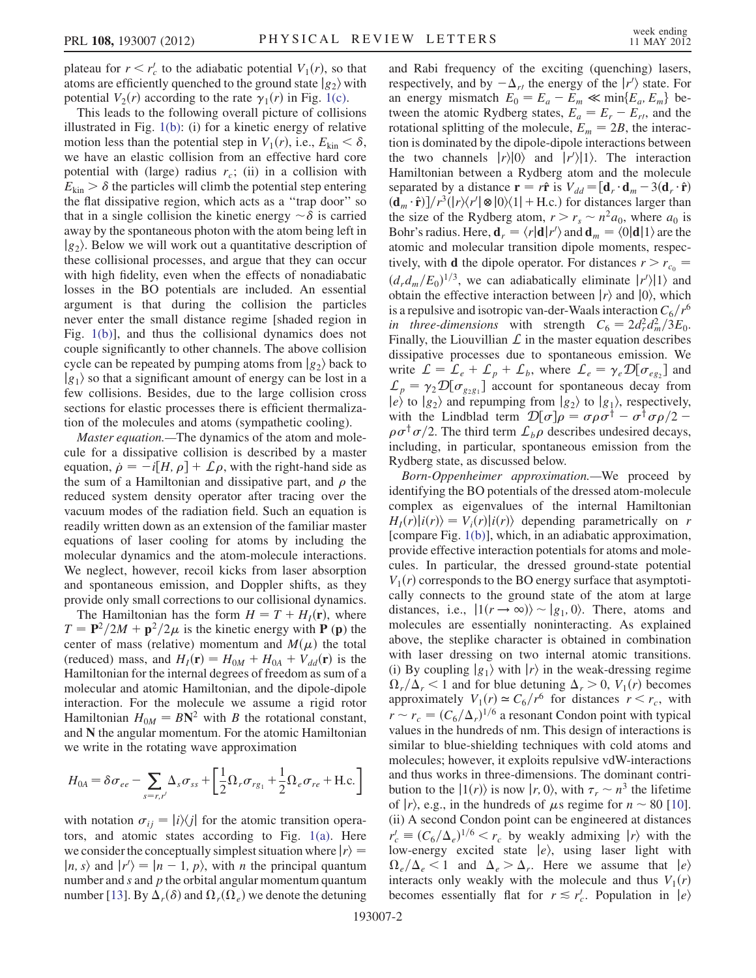plateau for  $r < r'_c$  to the adiabatic potential  $V_1(r)$ , so that atoms are efficiently quenched to the ground state  $|g_c\rangle$  with atoms are efficiently quenched to the ground state  $|g_2\rangle$  with potential  $V_2(r)$  according to the rate  $\gamma_1(r)$  in Fig. [1\(c\).](#page-0-0)

This leads to the following overall picture of collisions illustrated in Fig. [1\(b\)](#page-0-0): (i) for a kinetic energy of relative motion less than the potential step in  $V_1(r)$ , i.e.,  $E_{kin} < \delta$ , we have an elastic collision from an effective hard core we have an elastic collision from an effective hard core potential with (large) radius  $r_c$ ; (ii) in a collision with  $E_{\text{kin}} > \delta$  the particles will climb the potential step entering the flat dissipative region, which acts as a ''trap door'' so that in a single collision the kinetic energy  $\sim \delta$  is carried<br>away by the spontaneous photon with the atom being left in away by the spontaneous photon with the atom being left in  $|g_2\rangle$ . Below we will work out a quantitative description of these collisional processes, and argue that they can occur with high fidelity, even when the effects of nonadiabatic losses in the BO potentials are included. An essential argument is that during the collision the particles never enter the small distance regime [shaded region in Fig. [1\(b\)](#page-0-0)], and thus the collisional dynamics does not couple significantly to other channels. The above collision cycle can be repeated by pumping atoms from  $|g_2\rangle$  back to  $|g_1\rangle$  so that a significant amount of energy can be lost in a few collisions. Besides, due to the large collision cross sections for elastic processes there is efficient thermalization of the molecules and atoms (sympathetic cooling).

Master equation.—The dynamics of the atom and molecule for a dissipative collision is described by a master equation,  $\dot{\rho} = -i[H, \rho] + \mathcal{L}\rho$ , with the right-hand side as<br>the sum of a Hamiltonian and dissinative part, and  $\rho$  the the sum of a Hamiltonian and dissipative part, and  $\rho$  the reduced system density operator after tracing over the vacuum modes of the radiation field. Such an equation is readily written down as an extension of the familiar master equations of laser cooling for atoms by including the molecular dynamics and the atom-molecule interactions. We neglect, however, recoil kicks from laser absorption and spontaneous emission, and Doppler shifts, as they provide only small corrections to our collisional dynamics.

The Hamiltonian has the form  $H = T + H<sub>I</sub>(r)$ , where  $T = \mathbf{P}^2/2M + \mathbf{p}^2/2\mu$  is the kinetic energy with **P** (**p**) the center of mass (relative) momentum and  $M(\mu)$  the total (reduced) mass, and  $H_I(\mathbf{r}) = H_{0M} + H_{0A} + V_{dd}(\mathbf{r})$  is the Hamiltonian for the internal degrees of freedom as sum of a molecular and atomic Hamiltonian, and the dipole-dipole interaction. For the molecule we assume a rigid rotor Hamiltonian  $H_{0M} = B\mathbb{N}^2$  with B the rotational constant, and N the angular momentum. For the atomic Hamiltonian we write in the rotating wave approximation

$$
H_{0A} = \delta \sigma_{ee} - \sum_{s=r,r'} \Delta_s \sigma_{ss} + \left[\frac{1}{2} \Omega_r \sigma_{rg_1} + \frac{1}{2} \Omega_e \sigma_{re} + \text{H.c.}\right]
$$

with notation  $\sigma_{ij} = |i\rangle\langle j|$  for the atomic transition operators, and atomic states according to Fig. [1\(a\)](#page-0-0). Here we consider the conceptually simplest situation where  $|r\rangle =$  $|n, s\rangle$  and  $|r'\rangle = |n-1, p\rangle$ , with *n* the principal quantum<br>number and *s* and *n* the orbital angular momentum quantum number and  $s$  and  $p$  the orbital angular momentum quantum number [[13\]](#page-4-11). By  $\hat{\Delta}_r(\delta)$  and  $\Omega_r(\tilde{\Omega_e})$  we denote the detuning and Rabi frequency of the exciting (quenching) lasers, respectively, and by  $-\Delta_{r}$  the energy of the  $|r'\rangle$  state. For<br>an energy mismatch  $F_0 = F - F \ll \min\{F, F\}$  bean energy mismatch  $E_0 = E_a - E_m \ll \min\{E_a, E_m\}$  be-<br>tween the atomic Rydberg states  $F = F - F$  and the tween the atomic Rydberg states,  $E_a = E_r - E_r$ , and the rotational splitting of the molecule  $F_a = 2R$  the interacrotational splitting of the molecule,  $E_m = 2B$ , the interaction is dominated by the dipole-dipole interactions between the two channels  $|r\rangle|0\rangle$  and  $|r'\rangle|1\rangle$ . The interaction<br>Hamiltonian between a Rydberg atom and the molecule Hamiltonian between a Rydberg atom and the molecule separated by a distance  $\mathbf{r} = r\hat{\mathbf{r}}$  is  $V_{dd} = [\mathbf{d}_r \cdot \mathbf{d}_m - 3(\mathbf{d}_r \cdot \hat{\mathbf{r}})]$ <br>(d.  $\cdot \hat{\mathbf{r}}$ )]/ $r^3(|r\rangle \langle r'|\otimes |0\rangle \langle 1| + H_c)$  for distances larger than  $(\mathbf{d}_m \cdot \hat{\mathbf{r}})/r^3(|r\rangle\langle r'|\otimes|0\rangle\langle 1| + \text{H.c.})$  for distances larger than<br>the size of the Rydberg atom  $r > r \approx r^2 a_0$ , where  $a_0$  is the size of the Rydberg atom,  $r>r_s \sim n^2 a_0$ , where  $a_0$  is Bohr's radius. Here,  $\mathbf{d}_r = \langle r|\mathbf{d}|r\rangle$  and  $\mathbf{d}_m = \langle 0|\mathbf{d}|1\rangle$  are the atomic and molecular transition dipole moments respecatomic and molecular transition dipole moments, respectively, with **d** the dipole operator. For distances  $r > r_{c_0}$  =  $(d_r d_m/E_0)^{1/3}$ , we can adiabatically eliminate  $|r'\rangle |1\rangle$  and<br>obtain the effective interaction between  $|r\rangle$  and  $|0\rangle$  which obtain the effective interaction between  $|r\rangle$  and  $|0\rangle$ , which is a repulsive and isotropic van-der-Waals interaction  $C_6/r^6$ in three-dimensions with strength  $C_6 = 2d_r^2 d_m^2/3E_0$ .<br>Finally the Liouvillian f in the master equation describes Finally, the Liouvillian  $\mathcal L$  in the master equation describes dissipative processes due to spontaneous emission. We write  $\mathcal{L} = \mathcal{L}_e + \mathcal{L}_p + \mathcal{L}_b$ , where  $\mathcal{L}_e = \gamma_e \mathcal{D}[\sigma_{eg_2}]$  and  $\mathcal{L}_p = \gamma_2 \mathcal{D}[\sigma_{g_2 g_1}]$  account for spontaneous decay from  $|e\rangle$  to  $|g_2\rangle$  and repumping from  $|g_2\rangle$  to  $|g_1\rangle$ , respectively, with the Lindblad term  $\mathcal{D}[\sigma]\rho = \sigma \rho \sigma^{\dagger} - \sigma^{\dagger} \sigma \rho/2 - \rho \sigma^{\dagger} \sigma/2$ . The third term  $\Gamma$ , a describes undesired decays.  $\rho\sigma^{\dagger}\sigma/2$ . The third term  $\mathcal{L}_{b}\rho$  describes undesired decays, including, in particular, spontaneous emission from the Rydberg state, as discussed below.

Born-Oppenheimer approximation.—We proceed by identifying the BO potentials of the dressed atom-molecule complex as eigenvalues of the internal Hamiltonian  $H_1(r)|i(r)\rangle = V_i(r)|i(r)\rangle$  depending parametrically on r [compare Fig. [1\(b\)\]](#page-0-0), which, in an adiabatic approximation, provide effective interaction potentials for atoms and molecules. In particular, the dressed ground-state potential  $V_1(r)$  corresponds to the BO energy surface that asymptotically connects to the ground state of the atom at large distances, i.e.,  $|1(r \rightarrow \infty)\rangle \sim |g_1, 0\rangle$ . There, atoms and molecules are essentially noninteracting. As explained above, the steplike character is obtained in combination with laser dressing on two internal atomic transitions. (i) By coupling  $|g_1\rangle$  with  $|r\rangle$  in the weak-dressing regime  $\Omega_r/\Delta_r < 1$  and for blue detuning  $\Delta_r > 0$ ,  $V_1(r)$  becomes<br>approximately  $V_r(r) \approx C_r/r^6$  for distances  $r \le r$ , with approximately  $V_1(r) \simeq C_6/r^6$  for distances  $r < r_c$ , with  $r \sim r_c = (C_6/\Delta_r)^{1/6}$  a resonant Condon point with typical<br>values in the hundreds of nm. This design of interactions is values in the hundreds of nm. This design of interactions is similar to blue-shielding techniques with cold atoms and molecules; however, it exploits repulsive vdW-interactions and thus works in three-dimensions. The dominant contribution to the  $|1(r)\rangle$  is now  $|r, 0\rangle$ , with  $\tau_r \sim n^3$  the lifetime of  $|r\rangle$ , e.g., in the hundreds of  $\mu$ s regime for  $n \sim 80$  [[10\]](#page-4-12). (ii) A second Condon point can be engineered at distances  $r_c' \equiv (C_6/\Delta_e)^{1/6} < r_c$  by weakly admixing  $|r\rangle$  with the low-energy excited state  $|e\rangle$  using laser light with low-energy excited state  $|e\rangle$ , using laser light with  $\Omega_e/\Delta_e < 1$  and  $\Delta_e > \Delta_r$ . Here we assume that  $|e\rangle$ <br>interacts only weakly with the molecule and thus  $V_e(r)$ interacts only weakly with the molecule and thus  $V_1(r)$ becomes essentially flat for  $r \leq r'_c$ . Population in  $|e\rangle$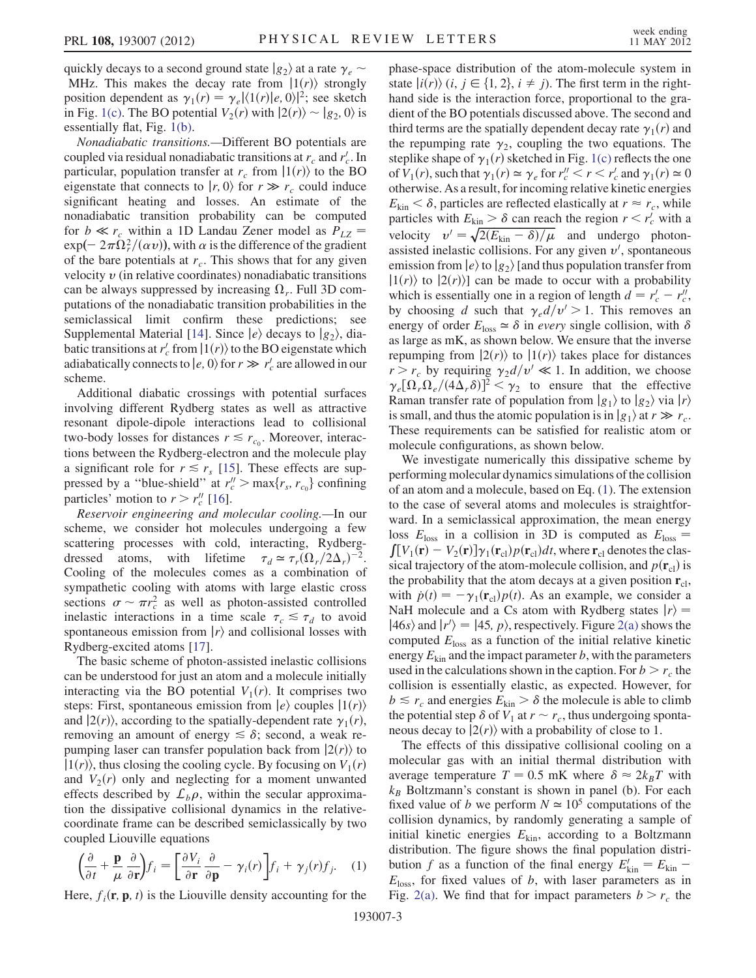quickly decays to a second ground state  $|g_2\rangle$  at a rate  $\gamma_e$ MHz. This makes the decay rate from  $|1(r)\rangle$  strongly position dependent as  $\gamma_1(r) = \gamma_e \langle \frac{1}{r} \rangle |e, 0\rangle|^2$ ; see sketch in Fig. [1\(c\).](#page-0-0) The BO potential  $V_2(r)$  with  $|2(r)\rangle \sim |g_2, 0\rangle$  is essentially flat, Fig. [1\(b\)](#page-0-0).

Nonadiabatic transitions.—Different BO potentials are coupled via residual nonadiabatic transitions at  $r_c$  and  $r_c'$ . In particular, population transfer at  $r_c$  from  $|1(r)\rangle$  to the BO eigenstate that connects to  $|r, 0\rangle$  for  $r \gg r_c$  could induce significant heating and losses. An estimate of the nonadiabatic transition probability can be computed for  $b \ll r_c$  within a 1D Landau Zener model as  $P_{LZ}$  =  $\exp(-2\pi \tilde{\Omega}_r^2/(\alpha v))$ , with  $\alpha$  is the difference of the gradient<br>of the bare potentials at r. This shows that for any given of the bare potentials at  $r_c$ . This shows that for any given velocity  $\nu$  (in relative coordinates) nonadiabatic transitions can be always suppressed by increasing  $\Omega_r$ . Full 3D computations of the nonadiabatic transition probabilities in the semiclassical limit confirm these predictions; see Supplemental Material [[14](#page-4-13)]. Since  $|e\rangle$  decays to  $|g_2\rangle$ , diabatic transitions at  $r'_c$  from  $|1(r)\rangle$  to the BO eigenstate which<br>adiabatically connects to  $|e|$  (i) for  $r \gg r'$  are allowed in our adiabatically connects to  $|e, 0\rangle$  for  $r \gg r_c'$  are allowed in our scheme scheme.

Additional diabatic crossings with potential surfaces involving different Rydberg states as well as attractive resonant dipole-dipole interactions lead to collisional two-body losses for distances  $r \lesssim r_{c_0}$ . Moreover, interactions between the Rydberg-electron and the molecule play a significant role for  $r \le r_s$  [\[15\]](#page-4-14). These effects are suppressed by a "blue-shield" at  $r''_c > \max\{r_s, r_{c_0}\}\)$  confining<br>particles' motion to  $r > r''$  [16] particles' motion to  $r > r_c''$  [[16](#page-4-15)].

Reservoir engineering and molecular cooling.—In our scheme, we consider hot molecules undergoing a few scattering processes with cold, interacting, Rydbergdressed atoms, with lifetime  $\tau_d \simeq \tau_r (\Omega_r/2\Delta_r)^{-2}$ .<br>Cooling of the molecules comes as a combination of Cooling of the molecules comes as a combination of sympathetic cooling with atoms with large elastic cross sections  $\sigma \sim \pi r_c^2$  as well as photon-assisted controlled<br>inelastic interactions in a time scale  $\tau \leq \tau$ , to avoid inelastic interactions in a time scale  $\tau_c \leq \tau_d$  to avoid spontaneous emission from  $|r\rangle$  and collisional losses with Rydberg-excited atoms [\[17\]](#page-4-16).

The basic scheme of photon-assisted inelastic collisions can be understood for just an atom and a molecule initially interacting via the BO potential  $V_1(r)$ . It comprises two steps: First, spontaneous emission from  $|e\rangle$  couples  $|1(r)\rangle$ and  $|2(r)\rangle$ , according to the spatially-dependent rate  $\gamma_1(r)$ , removing an amount of energy  $\leq \delta$ ; second, a weak repumping laser can transfer population back from  $|2(r)\rangle$  to  $|1(r)\rangle$ , thus closing the cooling cycle. By focusing on  $V_1(r)$ and  $V_2(r)$  only and neglecting for a moment unwanted effects described by  $\mathcal{L}_b \rho$ , within the secular approximation the dissipative collisional dynamics in the relativecoordinate frame can be described semiclassically by two coupled Liouville equations

<span id="page-2-0"></span>
$$
\left(\frac{\partial}{\partial t} + \frac{\mathbf{p}}{\mu} \frac{\partial}{\partial \mathbf{r}}\right) f_i = \left[\frac{\partial V_i}{\partial \mathbf{r}} \frac{\partial}{\partial \mathbf{p}} - \gamma_i(r)\right] f_i + \gamma_j(r) f_j. \quad (1)
$$

Here,  $f_i(\mathbf{r}, \mathbf{p}, t)$  is the Liouville density accounting for the

phase-space distribution of the atom-molecule system in state  $|i(r)\rangle$  (i,  $j \in \{1, 2\}, i \neq j$ ). The first term in the righthand side is the interaction force, proportional to the gradient of the BO potentials discussed above. The second and third terms are the spatially dependent decay rate  $\gamma_1(r)$  and the repumping rate  $\gamma_2$ , coupling the two equations. The steplike shape of  $\gamma_1(r)$  sketched in Fig. [1\(c\)](#page-0-0) reflects the one of  $V_1(r)$ , such that  $\gamma_1(r) \simeq \gamma_e$  for  $r''_c < r < r'_c$  and  $\gamma_1(r) \simeq 0$ <br>otherwise. As a result, for incoming relative kinetic energies otherwise. As a result, for incoming relative kinetic energies  $E_{\text{kin}} < \delta$ , particles are reflected elastically at  $r \approx r_c$ , while<br>particles with  $F_{\text{tot}} > \delta$  can reach the region  $r \le r'$  with a particles with  $E_{\text{kin}} > \delta$  can reach the region  $r < r_c'$  with a velocity  $v' = \sqrt{2(E_{\text{kin}} - \delta)/\mu}$  and undergo photon-<br>assisted inelastic collisions For any given  $v'$  spontaneous assisted inelastic collisions. For any given  $v'$ , spontaneous emission from  $\ket{e}$  to  $\ket{g_2}$  [and thus population transfer from  $|1(r)\rangle$  to  $|2(r)\rangle$  can be made to occur with a probability which is essentially one in a region of length  $d = r'_c - r''_c$ ,<br>by choosing d such that  $\alpha$  d/ $v' > 1$ . This removes an which is essentially one in a region of length  $a = r_c - r_c$ ,<br>by choosing d such that  $\gamma_e d/v' > 1$ . This removes an energy of order  $E_{loss} \simeq \delta$  in every single collision, with  $\delta$ <br>as large as mK as shown below. We ensure that the inverse as large as mK, as shown below. We ensure that the inverse repumping from  $|2(r)\rangle$  to  $|1(r)\rangle$  takes place for distances  $r > r_c$  by requiring  $\gamma_2 d/v' \ll 1$ . In addition, we choose  $\gamma_e [\Omega_r \Omega_e / (4 \Delta_r \delta)]^2 < \gamma_2$  to ensure that the effective<br>Raman transfer rate of population from  $|g_{\alpha}\rangle$  to  $|g_{\alpha}\rangle$  via  $|r\rangle$ Raman transfer rate of population from  $|g_1\rangle$  to  $|g_2\rangle$  via  $|r\rangle$ is small, and thus the atomic population is in  $|g_1\rangle$  at  $r \gg r_c$ . These requirements can be satisfied for realistic atom or molecule configurations, as shown below.

We investigate numerically this dissipative scheme by performing molecular dynamics simulations of the collision of an atom and a molecule, based on Eq. ([1](#page-2-0)). The extension to the case of several atoms and molecules is straightforward. In a semiclassical approximation, the mean energy loss  $E_{\text{loss}}$  in a collision in 3D is computed as  $E_{\text{loss}} =$  $[V_1(\mathbf{r}) - V_2(\mathbf{r})] \gamma_1(\mathbf{r}_{cl}) p(\mathbf{r}_{cl}) dt$ , where  $\mathbf{r}_{cl}$  denotes the class-<br>cal trajectory of the atom-molecule collision, and  $p(\mathbf{r}_c)$  is sical trajectory of the atom-molecule collision, and  $p(\mathbf{r}_{cl})$  is the probability that the atom decays at a given position  $r_{\rm cl}$ , with  $\dot{p}(t) = -\gamma_1(\mathbf{r}_{\text{cl}})p(t)$ . As an example, we consider a NaH molecule and a Cs atom with Rydberg states  $|r\rangle$ NaH molecule and a Cs atom with Rydberg states  $|r\rangle$  =  $|46s\rangle$  and  $|r'\rangle = |45, p\rangle$ , respectively. Figure [2\(a\)](#page-3-0) shows the computed  $F_1$  as a function of the initial relative kinetic computed  $E_{\text{loss}}$  as a function of the initial relative kinetic energy  $E_{kin}$  and the impact parameter b, with the parameters used in the calculations shown in the caption. For  $b > r_c$  the collision is essentially elastic, as expected. However, for  $b \le r_c$  and energies  $E_{kin} > \delta$  the molecule is able to climb the potential step  $\delta$  of  $V_1$  at  $r \sim r_c$ , thus undergoing sponta-<br>neous decay to  $(2(r))$  with a probability of close to 1 neous decay to  $|2(r)\rangle$  with a probability of close to 1.

The effects of this dissipative collisional cooling on a molecular gas with an initial thermal distribution with average temperature  $T = 0.5$  mK where  $\delta \approx 2k_B T$  with  $k_B$ . Boltzmann's constant is shown in panel (b). For each  $k_B$  Boltzmann's constant is shown in panel (b). For each fixed value of b we perform  $N \approx 10^5$  computations of the collision dynamics, by randomly generating a sample of initial kinetic energies  $E_{kin}$ , according to a Boltzmann distribution. The figure shows the final population distribution f as a function of the final energy  $E'_{\text{kin}} = E_{\text{kin}} - E_{\text{kin}}$  $E<sub>loss</sub>$ , for fixed values of b, with laser parameters as in Fig. [2\(a\)](#page-3-0). We find that for impact parameters  $b > r_c$  the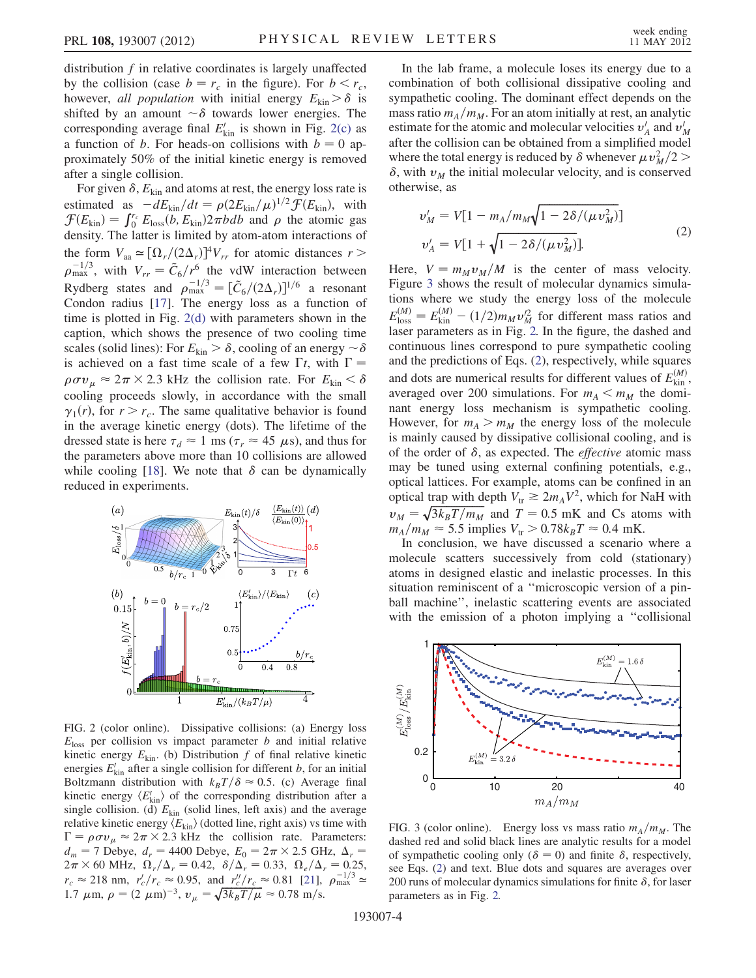distribution  $f$  in relative coordinates is largely unaffected by the collision (case  $b = r_c$  in the figure). For  $b < r_c$ , however, all population with initial energy  $E_{kin} > \delta$  is shifted by an amount  $\sim \delta$  towards lower energies. The corresponding average final  $F'$ , is shown in Fig. 2(c) as corresponding average final  $E'_{kin}$  is shown in Fig. [2\(c\)](#page-3-0) as a function of b. For heads-on collisions with  $b = 0$  approximately 50% of the initial kinetic energy is removed after a single collision.

For given  $\delta$ ,  $E_{kin}$  and atoms at rest, the energy loss rate is estimated as  $-dE_{\text{kin}}/dt = \rho (2E_{\text{kin}}/\mu)^{1/2} \mathcal{F}(E_{\text{kin}})$ , with  $\mathcal{F}(F_{\text{tot}}) = \int_{-\infty}^{\infty} F_{\text{tot}}(E_{\text{kin}}/2\pi b d\theta)$  and o the atomic gas  $\mathcal{F}(E_{\text{kin}}) = \int_0^{r_c} E_{\text{loss}}(b, E_{\text{kin}}) 2 \pi b db$  and  $\rho$  the atomic gas<br>density. The latter is limited by atom atom interactions of density. The latter is limited by atom-atom interactions of the form  $V_{aa} \simeq [\Omega_r/(2\Delta_r)]^4 V_{rr}$  for atomic distances  $r >$ <br> $e^{-1/3}$  with  $V_{\text{eff}} = \tilde{C}/r^6$  the velW interaction between  $\rho_{\text{max}}^{-1/3}$ , with  $V_{rr} = \tilde{C}_6/r^6$  the vdW interaction between<br>Rydberg states and  $\rho_{\text{max}}^{-1/3} = [\tilde{C}_6/(2\Delta_r)]^{1/6}$  a resonant Condon radius [[17](#page-4-16)]. The energy loss as a function of time is plotted in Fig. [2\(d\)](#page-3-0) with parameters shown in the caption, which shows the presence of two cooling time scales (solid lines): For  $E_{\text{kin}} > \delta$ , cooling of an energy  $\sim \delta$ <br>is achieved on a fast time scale of a few  $\Gamma t$  with  $\Gamma =$ is achieved on a fast time scale of a few  $\Gamma t$ , with  $\Gamma =$  $\rho \sigma v_{\mu} \approx 2\pi \times 2.3$  kHz the collision rate. For  $E_{\text{kin}} < \delta$ <br>cooling proceeds slowly in accordance with the small cooling proceeds slowly, in accordance with the small  $\gamma_1(r)$ , for  $r > r_c$ . The same qualitative behavior is found in the average kinetic energy (dots). The lifetime of the dressed state is here  $\tau_d \approx 1$  ms ( $\tau_r \approx 45 \mu s$ ), and thus for the parameters above more than 10 collisions are allowed while cooling [\[18](#page-4-17)]. We note that  $\delta$  can be dynamically reduced in experiments.

<span id="page-3-2"></span>

<span id="page-3-0"></span>FIG. 2 (color online). Dissipative collisions: (a) Energy loss  $E<sub>loss</sub>$  per collision vs impact parameter b and initial relative kinetic energy  $E_{kin}$ . (b) Distribution f of final relative kinetic energies  $E'_{\text{kin}}$  after a single collision for different b, for an initial Boltzmann distribution with  $k_B T/\delta \approx 0.5$ . (c) Average final<br>kinetic energy  $\langle F' \rangle$  of the corresponding distribution after a kinetic energy  $\langle E_{\text{kin}}' \rangle$  of the corresponding distribution after a single collision (d)  $F_{\text{tot}}$  (solid lines left axis) and the average single collision. (d)  $E_{kin}$  (solid lines, left axis) and the average relative kinetic energy  $\langle E_{\text{kin}} \rangle$  (dotted line, right axis) vs time with  $\Gamma = \rho \sigma v_{\mu} \approx 2\pi \times 2.3$  kHz the collision rate. Parameters:<br>  $d = 7$  Debye  $d = 4400$  Debye  $F = 2\pi \times 2.5$  GHz  $A =$  $d_m = 7$  Debye,  $d_r = 4400$  Debye,  $E_0 = 2\pi \times 2.5$  GHz,  $\Delta_r = 2\pi \times 60$  MHz,  $\Omega / \Lambda = 0.42$   $\delta / \Lambda = 0.33$   $\Omega / \Lambda = 0.25$  $2\pi \times 60$  MHz,  $\Omega_r/\Delta_r = 0.42$ ,  $\delta/\Delta_r = 0.33$ ,  $\Omega_e/\Delta_r = 0.25$ ,<br>r  $\approx 218$  pm r/r  $\approx 0.95$ , and r//r  $\approx 0.81$ ,  $121$ ,  $e^{-1/3}$  $r_c \approx 218$  nm,  $r_c'/r_c \approx 0.95$ , and  $r_c''/r_c \approx 0.81$  [\[21\]](#page-4-18),  $\rho_{\text{max}}^{-1/3} \approx 1.7$  km s =  $(2.0 \text{ m})^{-3}$  m =  $\sqrt{3kT/\mu} \approx 0.78$  m/s 1.7  $\mu$ m,  $\rho = (2 \ \mu m)^{-3}$ ,  $v_{\mu} = \sqrt{3k_B T/\mu} \approx 0.78 \text{ m/s}$ .

In the lab frame, a molecule loses its energy due to a combination of both collisional dissipative cooling and sympathetic cooling. The dominant effect depends on the mass ratio  $m_A/m_M$ . For an atom initially at rest, an analytic estimate for the atomic and molecular velocities  $v'_A$  and  $v'_M$ after the collision can be obtained from a simplified model where the total energy is reduced by  $\delta$  whenever  $\mu v_M^2/2$  $\delta$ , with  $v_M$  the initial molecular velocity, and is conserved otherwise, as

<span id="page-3-3"></span>
$$
v'_{M} = V[1 - m_{A}/m_{M}\sqrt{1 - 2\delta/(\mu v_{M}^{2})}]
$$
  

$$
v'_{A} = V[1 + \sqrt{1 - 2\delta/(\mu v_{M}^{2})}].
$$
 (2)

Here,  $V = m_M v_M/M$  is the center of mass velocity. Figure [3](#page-3-1) shows the result of molecular dynamics simulations where we study the energy loss of the molecule  $E_{\text{loss}}^{(M)} = E_{\text{kin}}^{(M)} - (1/2)m_Mv_M^2$  for different mass ratios and<br>laser parameters as in Fig. 2. In the figure, the dashed and laser parameters as in Fig. [2.](#page-3-2) In the figure, the dashed and continuous lines correspond to pure sympathetic cooling and the predictions of Eqs. ([2\)](#page-3-3), respectively, while squares and dots are numerical results for different values of  $E_{\text{kin}}^{(M)}$ , averaged over 200 simulations. For  $m_A < m_M$  the dominant energy loss mechanism is sympathetic cooling. However, for  $m_A > m_M$  the energy loss of the molecule is mainly caused by dissipative collisional cooling, and is of the order of  $\delta$ , as expected. The *effective* atomic mass may be tuned using external confining potentials, e.g., optical lattices. For example, atoms can be confined in an optical trap with depth  $V_{tr} \ge 2m_A V^2$ , which for NaH with  $v_M = \sqrt{3k_B T/m_M}$  and  $T = 0.5$  mK and Cs atoms with  $m_A/m_M \approx 5.5$  implies  $V_s > 0.78k_B T \approx 0.4$  mK  $m_A/m_M \approx 5.5$  implies  $V_{tr} > 0.78k_BT \approx 0.4$  mK.

In conclusion, we have discussed a scenario where a molecule scatters successively from cold (stationary) atoms in designed elastic and inelastic processes. In this situation reminiscent of a ''microscopic version of a pinball machine'', inelastic scattering events are associated with the emission of a photon implying a ''collisional

<span id="page-3-1"></span>

FIG. 3 (color online). Energy loss vs mass ratio  $m_A/m_M$ . The dashed red and solid black lines are analytic results for a model of sympathetic cooling only ( $\delta = 0$ ) and finite  $\delta$ , respectively,<br>see Eqs. (2) and text. Blue dots and squares are averages over see Eqs. ([2](#page-3-3)) and text. Blue dots and squares are averages over 200 runs of molecular dynamics simulations for finite  $\delta$ , for laser parameters as in Fig. [2.](#page-3-2)